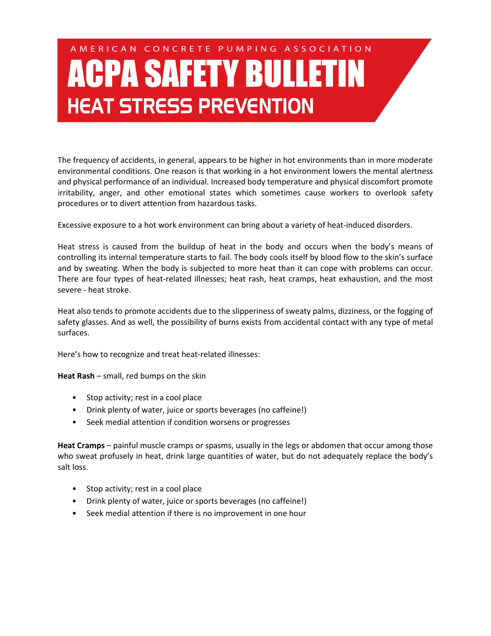## AMERICAN CONCRETE PUMPING ASSOCIATION **ACPA SAFETY BULLETIN HEAT STRESS PREVENTION**

The frequency of accidents, in general, appears to be higher in hot environments than in more moderate environmental conditions. One reason is that working in a hot environment lowers the mental alertness and physical performance of an individual. Increased body temperature and physical discomfort promote irritability, anger, and other emotional states which sometimes cause workers to overlook safety procedures or to divert attention from hazardous tasks.

Excessive exposure to a hot work environment can bring about a variety of heat-induced disorders.

Heat stress is caused from the buildup of heat in the body and occurs when the body's means of controlling its internal temperature starts to fail. The body cools itself by blood flow to the skin's surface and by sweating. When the body is subjected to more heat than it can cope with problems can occur. There are four types of heat-related illnesses; heat rash, heat cramps, heat exhaustion, and the most severe - heat stroke.

Heat also tends to promote accidents due to the slipperiness of sweaty palms, dizziness, or the fogging of safety glasses. And as well, the possibility of burns exists from accidental contact with any type of metal surfaces.

Here's how to recognize and treat heat-related illnesses:

**Heat Rash** – small, red bumps on the skin

- Stop activity; rest in a cool place
- Drink plenty of water, juice or sports beverages (no caffeine!)
- Seek medial attention if condition worsens or progresses

**Heat Cramps** – painful muscle cramps or spasms, usually in the legs or abdomen that occur among those who sweat profusely in heat, drink large quantities of water, but do not adequately replace the body's salt loss.

- Stop activity; rest in a cool place
- Drink plenty of water, juice or sports beverages (no caffeine!)
- Seek medial attention if there is no improvement in one hour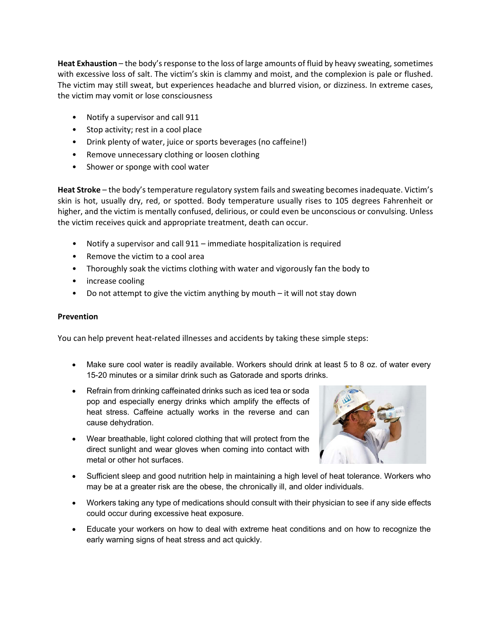**Heat Exhaustion** – the body's response to the loss of large amounts of fluid by heavy sweating, sometimes with excessive loss of salt. The victim's skin is clammy and moist, and the complexion is pale or flushed. The victim may still sweat, but experiences headache and blurred vision, or dizziness. In extreme cases, the victim may vomit or lose consciousness

- Notify a supervisor and call 911
- Stop activity; rest in a cool place
- Drink plenty of water, juice or sports beverages (no caffeine!)
- Remove unnecessary clothing or loosen clothing
- Shower or sponge with cool water

**Heat Stroke** – the body's temperature regulatory system fails and sweating becomes inadequate. Victim's skin is hot, usually dry, red, or spotted. Body temperature usually rises to 105 degrees Fahrenheit or higher, and the victim is mentally confused, delirious, or could even be unconscious or convulsing. Unless the victim receives quick and appropriate treatment, death can occur.

- Notify a supervisor and call 911 immediate hospitalization is required
- Remove the victim to a cool area
- Thoroughly soak the victims clothing with water and vigorously fan the body to
- increase cooling
- Do not attempt to give the victim anything by mouth it will not stay down

## **Prevention**

You can help prevent heat-related illnesses and accidents by taking these simple steps:

- Make sure cool water is readily available. Workers should drink at least 5 to 8 oz. of water every 15-20 minutes or a similar drink such as Gatorade and sports drinks.
- Refrain from drinking caffeinated drinks such as iced tea or soda pop and especially energy drinks which amplify the effects of heat stress. Caffeine actually works in the reverse and can cause dehydration.
- Wear breathable, light colored clothing that will protect from the direct sunlight and wear gloves when coming into contact with metal or other hot surfaces.



- Sufficient sleep and good nutrition help in maintaining a high level of heat tolerance. Workers who may be at a greater risk are the obese, the chronically ill, and older individuals.
- Workers taking any type of medications should consult with their physician to see if any side effects could occur during excessive heat exposure.
- Educate your workers on how to deal with extreme heat conditions and on how to recognize the early warning signs of heat stress and act quickly.